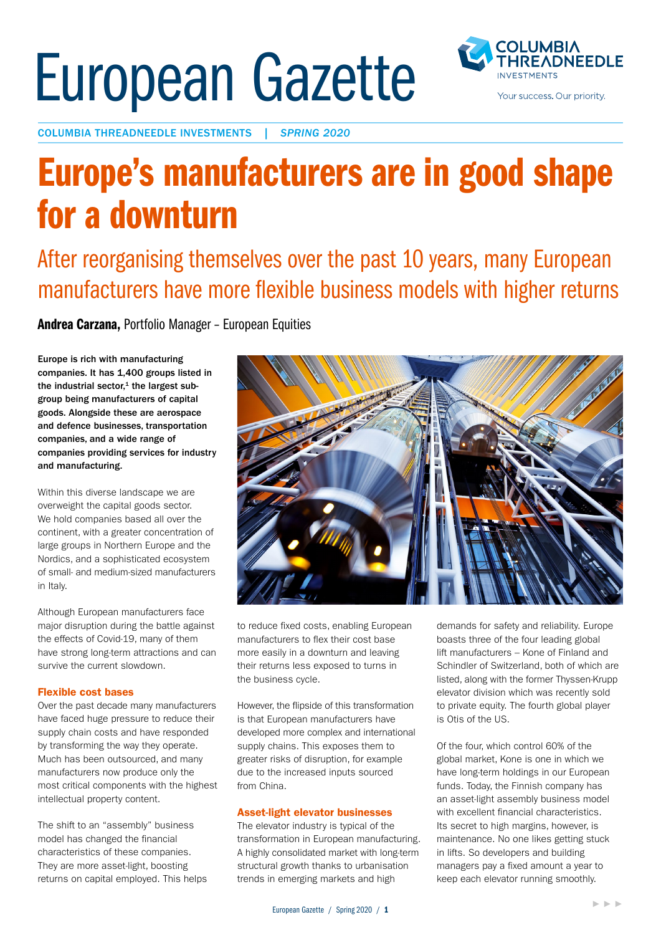# European Gazette



COLUMBIA THREADNEEDLE INVESTMENTS | *SPRING 2020*

## Europe's manufacturers are in good shape for a downturn

After reorganising themselves over the past 10 years, many European manufacturers have more flexible business models with higher returns

Andrea Carzana, Portfolio Manager – European Equities

Europe is rich with manufacturing companies. It has 1,400 groups listed in the industrial sector, $1$  the largest subgroup being manufacturers of capital goods. Alongside these are aerospace and defence businesses, transportation companies, and a wide range of companies providing services for industry and manufacturing.

Within this diverse landscape we are overweight the capital goods sector. We hold companies based all over the continent, with a greater concentration of large groups in Northern Europe and the Nordics, and a sophisticated ecosystem of small- and medium-sized manufacturers in Italy.

Although European manufacturers face major disruption during the battle against the effects of Covid-19, many of them have strong long-term attractions and can survive the current slowdown.

#### Flexible cost bases

Over the past decade many manufacturers have faced huge pressure to reduce their supply chain costs and have responded by transforming the way they operate. Much has been outsourced, and many manufacturers now produce only the most critical components with the highest intellectual property content.

The shift to an "assembly" business model has changed the financial characteristics of these companies. They are more asset-light, boosting returns on capital employed. This helps



to reduce fixed costs, enabling European manufacturers to flex their cost base more easily in a downturn and leaving their returns less exposed to turns in the business cycle.

However, the flipside of this transformation is that European manufacturers have developed more complex and international supply chains. This exposes them to greater risks of disruption, for example due to the increased inputs sourced from China.

#### Asset-light elevator businesses

The elevator industry is typical of the transformation in European manufacturing. A highly consolidated market with long-term structural growth thanks to urbanisation trends in emerging markets and high

demands for safety and reliability. Europe boasts three of the four leading global lift manufacturers – Kone of Finland and Schindler of Switzerland, both of which are listed, along with the former Thyssen-Krupp elevator division which was recently sold to private equity. The fourth global player is Otis of the US.

Of the four, which control 60% of the global market, Kone is one in which we have long-term holdings in our European funds. Today, the Finnish company has an asset-light assembly business model with excellent financial characteristics. Its secret to high margins, however, is maintenance. No one likes getting stuck in lifts. So developers and building managers pay a fixed amount a year to keep each elevator running smoothly.